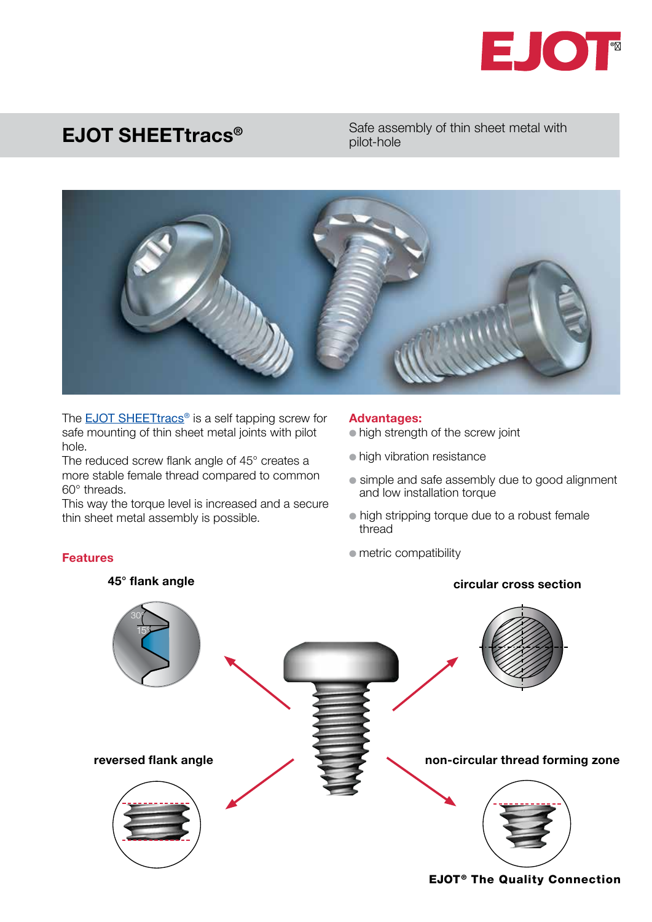

## EJOT SHEETtracs®

Safe assembly of thin sheet metal with pilot-hole



The **EJOT SHEETtracs<sup>®</sup>** is a self tapping screw for safe mounting of thin sheet metal joints with pilot hole.

The reduced screw flank angle of 45° creates a more stable female thread compared to common 60° threads.

This way the torque level is increased and a secure thin sheet metal assembly is possible.

Features

## Advantages:

• high strength of the screw joint

- high vibration resistance
- simple and safe assembly due to good alignment and low installation torque
- $\bullet$  high stripping torque due to a robust female thread
- $\bullet$  metric compatibility